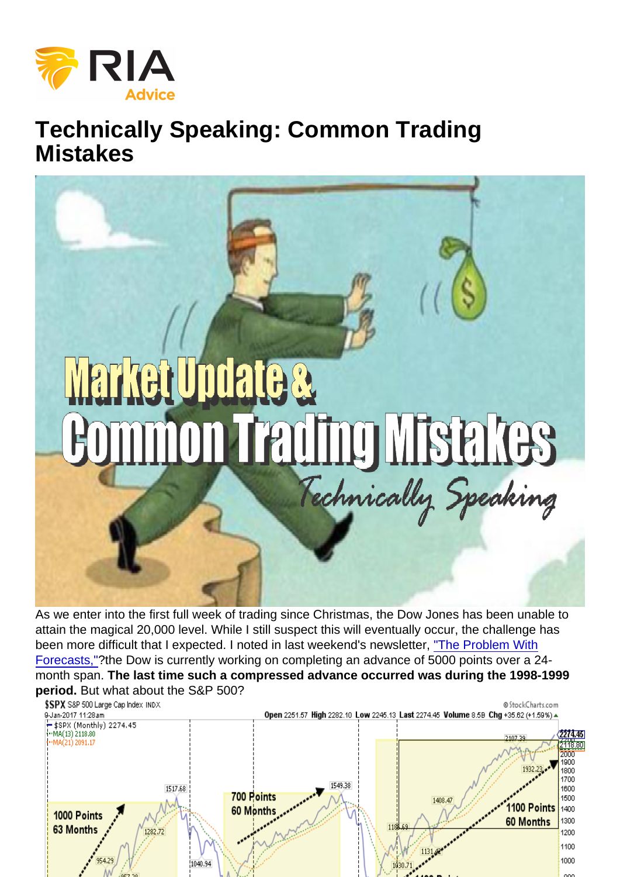# Technically Speaking: Common Trading **Mistakes**

As we enter into the first full week of trading since Christmas, the Dow Jones has been unable to attain the magical 20,000 level. While I still suspect this will eventually occur, the challenge has been more difficult that I expected. I noted in last weekend's newsletter, ["The Problem With](https://realinvestmentadvice.com/the-problem-with-forecasts-01-05-17/) [Forecasts,"](https://realinvestmentadvice.com/the-problem-with-forecasts-01-05-17/)?the Dow is currently working on completing an advance of 5000 points over a 24 month span. The last time such a compressed advance occurred was during the 1998-1999 period. But what about the S&P 500?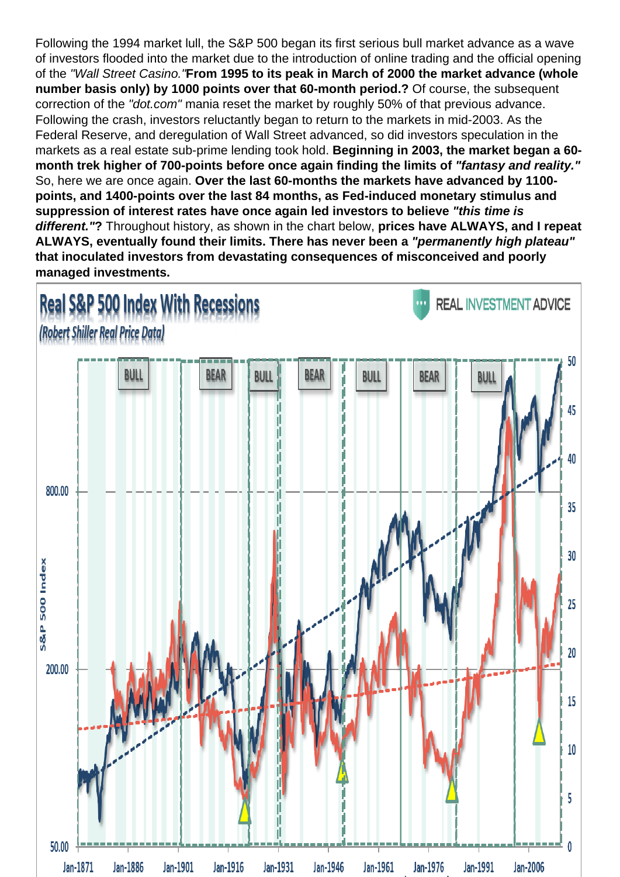Following the 1994 market lull, the S&P 500 began its first serious bull market advance as a wave of investors flooded into the market due to the introduction of online trading and the official opening of the "Wall Street Casino."From 1995 to its peak in March of 2000 the market advance (whole number basis only) by 1000 points over that 60-month period.? Of course, the subsequent correction of the "dot.com" mania reset the market by roughly 50% of that previous advance. Following the crash, investors reluctantly began to return to the markets in mid-2003. As the Federal Reserve, and deregulation of Wall Street advanced, so did investors speculation in the markets as a real estate sub-prime lending took hold. Beginning in 2003, the market began a 60 month trek higher of 700-points before once again finding the limits of "fantasy and reality." So, here we are once again. Over the last 60-months the markets have advanced by 1100 points, and 1400-points over the last 84 months, as Fed-induced monetary stimulus and suppression of interest rates have once again led investors to believe withis time is different." ? Throughout history, as shown in the chart below, prices have ALWAYS, and I repeat ALWAYS, eventually found their limits. There has never been a "permanently high plateau" that inoculated investors from devastating consequences of misconceived and poorly managed investments.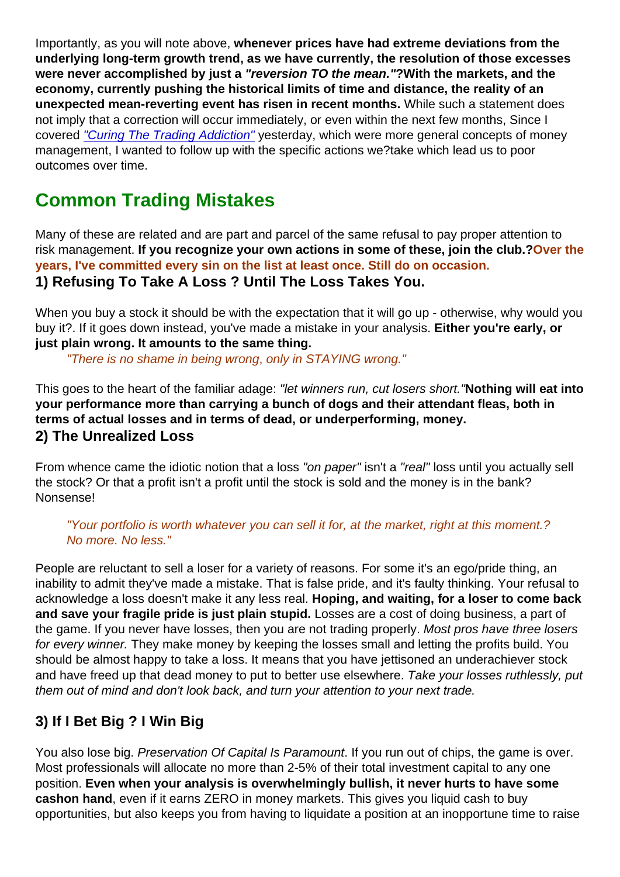Importantly, as you will note above, whenever prices have had extreme deviations from the underlying long-term growth trend, as we have currently, the resolution of those excesses were never accomplished by just a "reversion TO the mean." ? With the markets, and the economy, currently pushing the historical limits of time and distance, the reality of an unexpected mean-reverting event has risen in recent months. While such a statement does not imply that a correction will occur immediately, or even within the next few months, Since I covered ["Curing The Trading Addiction"](https://realinvestmentadvice.com/10-steps-to-curing-the-trading-addiction/) yesterday, which were more general concepts of money management, I wanted to follow up with the specific actions we?take which lead us to poor outcomes over time.

# Common Trading Mistakes

Many of these are related and are part and parcel of the same refusal to pay proper attention to risk management. If you recognize your own actions in some of these, join the club.? Over the years, I've committed every sin on the list at least once. Still do on occasion. 1) Refusing To Take A Loss ? Until The Loss Takes You.

When you buy a stock it should be with the expectation that it will go up - otherwise, why would you buy it?. If it goes down instead, you've made a mistake in your analysis. Either you're early, or just plain wrong. It amounts to the same thing.

"There is no shame in being wrong, only in STAYING wrong."

This goes to the heart of the familiar adage: "let winners run, cut losers short."Nothing will eat into your performance more than carrying a bunch of dogs and their attendant fleas, both in terms of actual losses and in terms of dead, or underperforming, money.

#### 2) The Unrealized Loss

From whence came the idiotic notion that a loss "on paper" isn't a "real" loss until you actually sell the stock? Or that a profit isn't a profit until the stock is sold and the money is in the bank? Nonsense!

"Your portfolio is worth whatever you can sell it for, at the market, right at this moment.? No more. No less."

People are reluctant to sell a loser for a variety of reasons. For some it's an ego/pride thing, an inability to admit they've made a mistake. That is false pride, and it's faulty thinking. Your refusal to acknowledge a loss doesn't make it any less real. Hoping, and waiting, for a loser to come back and save your fragile pride is just plain stupid. Losses are a cost of doing business, a part of the game. If you never have losses, then you are not trading properly. Most pros have three losers for every winner. They make money by keeping the losses small and letting the profits build. You should be almost happy to take a loss. It means that you have jettisoned an underachiever stock and have freed up that dead money to put to better use elsewhere. Take your losses ruthlessly, put them out of mind and don't look back, and turn your attention to your next trade.

#### 3) If I Bet Big ? I Win Big

You also lose big. Preservation Of Capital Is Paramount. If you run out of chips, the game is over. Most professionals will allocate no more than 2-5% of their total investment capital to any one position. Even when your analysis is overwhelmingly bullish, it never hurts to have some cash on hand , even if it earns ZERO in money markets. This gives you liquid cash to buy opportunities, but also keeps you from having to liquidate a position at an inopportune time to raise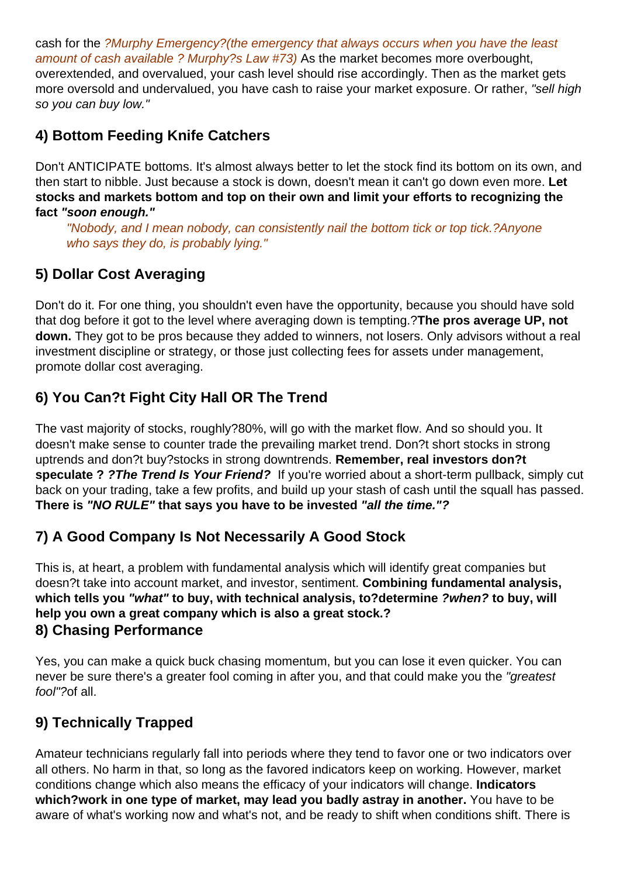cash for the ?Murphy Emergency?(the emergency that always occurs when you have the least amount of cash available ? Murphy?s Law #73) As the market becomes more overbought, overextended, and overvalued, your cash level should rise accordingly. Then as the market gets more oversold and undervalued, you have cash to raise your market exposure. Or rather, "sell high so you can buy low."

#### **4) Bottom Feeding Knife Catchers**

Don't ANTICIPATE bottoms. It's almost always better to let the stock find its bottom on its own, and then start to nibble. Just because a stock is down, doesn't mean it can't go down even more. **Let stocks and markets bottom and top on their own and limit your efforts to recognizing the fact "soon enough."**

"Nobody, and I mean nobody, can consistently nail the bottom tick or top tick.?Anyone who says they do, is probably lying."

# **5) Dollar Cost Averaging**

Don't do it. For one thing, you shouldn't even have the opportunity, because you should have sold that dog before it got to the level where averaging down is tempting.?**The pros average UP, not down.** They got to be pros because they added to winners, not losers. Only advisors without a real investment discipline or strategy, or those just collecting fees for assets under management, promote dollar cost averaging.

# **6) You Can?t Fight City Hall OR The Trend**

The vast majority of stocks, roughly?80%, will go with the market flow. And so should you. It doesn't make sense to counter trade the prevailing market trend. Don?t short stocks in strong uptrends and don?t buy?stocks in strong downtrends. **Remember, real investors don?t speculate ? ?The Trend Is Your Friend?** If you're worried about a short-term pullback, simply cut back on your trading, take a few profits, and build up your stash of cash until the squall has passed. **There is "NO RULE" that says you have to be invested "all the time."?**

### **7) A Good Company Is Not Necessarily A Good Stock**

This is, at heart, a problem with fundamental analysis which will identify great companies but doesn?t take into account market, and investor, sentiment. **Combining fundamental analysis, which tells you "what" to buy, with technical analysis, to?determine ?when? to buy, will help you own a great company which is also a great stock.? 8) Chasing Performance**

Yes, you can make a quick buck chasing momentum, but you can lose it even quicker. You can never be sure there's a greater fool coming in after you, and that could make you the "greatest" fool"?of all.

### **9) Technically Trapped**

Amateur technicians regularly fall into periods where they tend to favor one or two indicators over all others. No harm in that, so long as the favored indicators keep on working. However, market conditions change which also means the efficacy of your indicators will change. **Indicators which?work in one type of market, may lead you badly astray in another.** You have to be aware of what's working now and what's not, and be ready to shift when conditions shift. There is